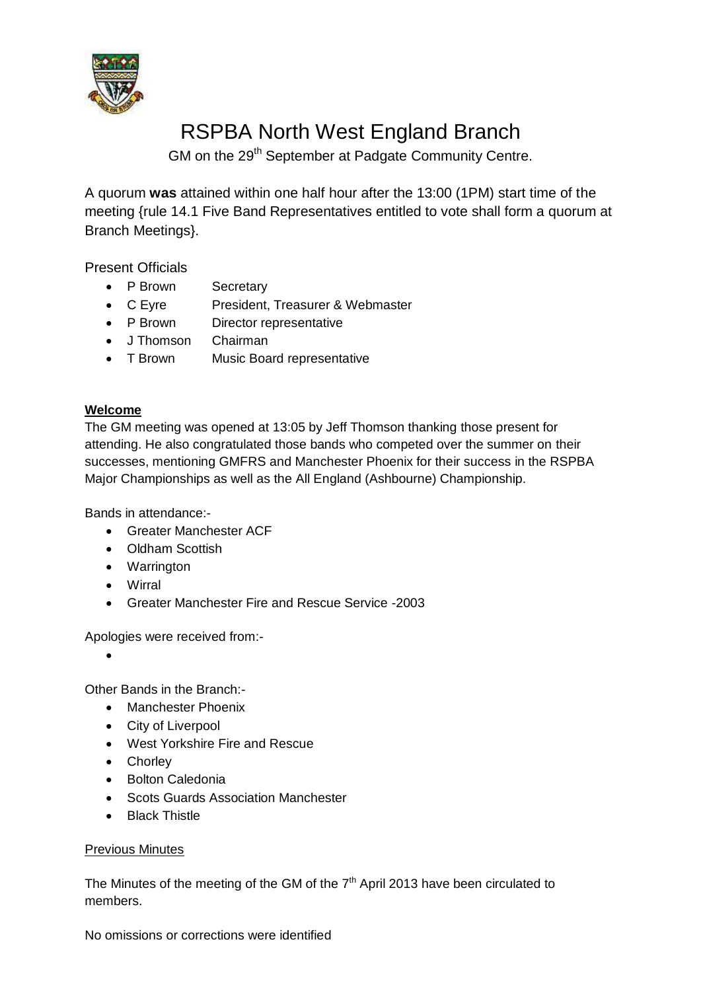

# RSPBA North West England Branch

GM on the 29<sup>th</sup> September at Padgate Community Centre.

A quorum **was** attained within one half hour after the 13:00 (1PM) start time of the meeting {rule 14.1 Five Band Representatives entitled to vote shall form a quorum at Branch Meetings}.

Present Officials

- P Brown Secretary
- C Eyre President, Treasurer & Webmaster
- P Brown Director representative
- J Thomson Chairman
- T Brown Music Board representative

## **Welcome**

The GM meeting was opened at 13:05 by Jeff Thomson thanking those present for attending. He also congratulated those bands who competed over the summer on their successes, mentioning GMFRS and Manchester Phoenix for their success in the RSPBA Major Championships as well as the All England (Ashbourne) Championship.

Bands in attendance:-

- Greater Manchester ACF
- Oldham Scottish
- Warrington
- Wirral
- Greater Manchester Fire and Rescue Service -2003

Apologies were received from:-

 $\bullet$ 

Other Bands in the Branch:-

- Manchester Phoenix
- City of Liverpool
- West Yorkshire Fire and Rescue
- Chorley
- Bolton Caledonia
- Scots Guards Association Manchester
- Black Thistle

#### Previous Minutes

The Minutes of the meeting of the GM of the  $7<sup>th</sup>$  April 2013 have been circulated to members.

No omissions or corrections were identified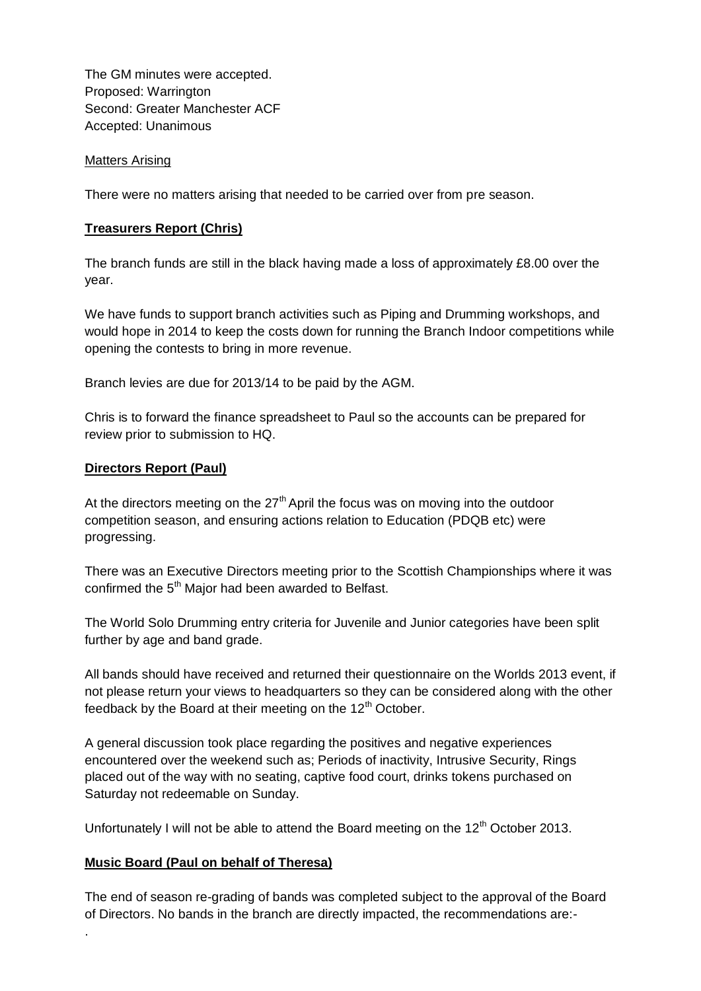The GM minutes were accepted. Proposed: Warrington Second: Greater Manchester ACF Accepted: Unanimous

#### Matters Arising

There were no matters arising that needed to be carried over from pre season.

#### **Treasurers Report (Chris)**

The branch funds are still in the black having made a loss of approximately £8.00 over the year.

We have funds to support branch activities such as Piping and Drumming workshops, and would hope in 2014 to keep the costs down for running the Branch Indoor competitions while opening the contests to bring in more revenue.

Branch levies are due for 2013/14 to be paid by the AGM.

Chris is to forward the finance spreadsheet to Paul so the accounts can be prepared for review prior to submission to HQ.

#### **Directors Report (Paul)**

At the directors meeting on the  $27<sup>th</sup>$  April the focus was on moving into the outdoor competition season, and ensuring actions relation to Education (PDQB etc) were progressing.

There was an Executive Directors meeting prior to the Scottish Championships where it was confirmed the 5<sup>th</sup> Major had been awarded to Belfast.

The World Solo Drumming entry criteria for Juvenile and Junior categories have been split further by age and band grade.

All bands should have received and returned their questionnaire on the Worlds 2013 event, if not please return your views to headquarters so they can be considered along with the other feedback by the Board at their meeting on the  $12<sup>th</sup>$  October.

A general discussion took place regarding the positives and negative experiences encountered over the weekend such as; Periods of inactivity, Intrusive Security, Rings placed out of the way with no seating, captive food court, drinks tokens purchased on Saturday not redeemable on Sunday.

Unfortunately I will not be able to attend the Board meeting on the  $12<sup>th</sup>$  October 2013.

#### **Music Board (Paul on behalf of Theresa)**

.

The end of season re-grading of bands was completed subject to the approval of the Board of Directors. No bands in the branch are directly impacted, the recommendations are:-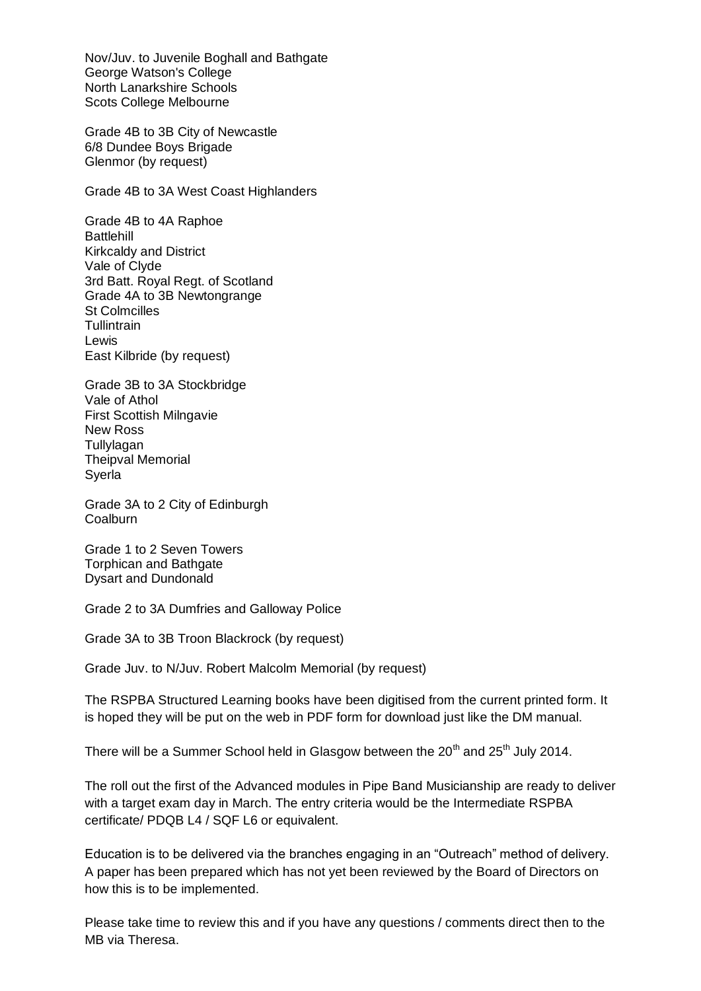Nov/Juv. to Juvenile Boghall and Bathgate George Watson's College North Lanarkshire Schools Scots College Melbourne

Grade 4B to 3B City of Newcastle 6/8 Dundee Boys Brigade Glenmor (by request)

Grade 4B to 3A West Coast Highlanders

Grade 4B to 4A Raphoe **Battlehill** Kirkcaldy and District Vale of Clyde 3rd Batt. Royal Regt. of Scotland Grade 4A to 3B Newtongrange St Colmcilles **Tullintrain** Lewis East Kilbride (by request)

Grade 3B to 3A Stockbridge Vale of Athol First Scottish Milngavie New Ross **Tullylagan** Theipval Memorial Syerla

Grade 3A to 2 City of Edinburgh Coalburn

Grade 1 to 2 Seven Towers Torphican and Bathgate Dysart and Dundonald

Grade 2 to 3A Dumfries and Galloway Police

Grade 3A to 3B Troon Blackrock (by request)

Grade Juv. to N/Juv. Robert Malcolm Memorial (by request)

The RSPBA Structured Learning books have been digitised from the current printed form. It is hoped they will be put on the web in PDF form for download just like the DM manual.

There will be a Summer School held in Glasgow between the  $20<sup>th</sup>$  and  $25<sup>th</sup>$  July 2014.

The roll out the first of the Advanced modules in Pipe Band Musicianship are ready to deliver with a target exam day in March. The entry criteria would be the Intermediate RSPBA certificate/ PDQB L4 / SQF L6 or equivalent.

Education is to be delivered via the branches engaging in an "Outreach" method of delivery. A paper has been prepared which has not yet been reviewed by the Board of Directors on how this is to be implemented.

Please take time to review this and if you have any questions / comments direct then to the MB via Theresa.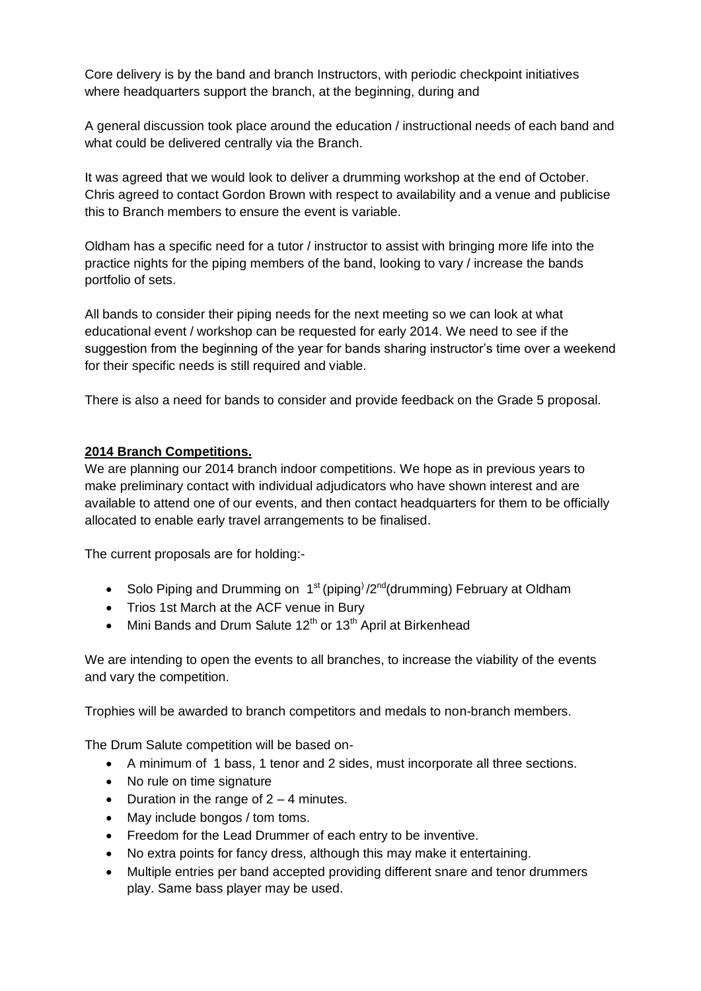Core delivery is by the band and branch Instructors, with periodic checkpoint initiatives where headquarters support the branch, at the beginning, during and

A general discussion took place around the education / instructional needs of each band and what could be delivered centrally via the Branch.

It was agreed that we would look to deliver a drumming workshop at the end of October. Chris agreed to contact Gordon Brown with respect to availability and a venue and publicise this to Branch members to ensure the event is variable.

Oldham has a specific need for a tutor / instructor to assist with bringing more life into the practice nights for the piping members of the band, looking to vary / increase the bands portfolio of sets.

All bands to consider their piping needs for the next meeting so we can look at what educational event / workshop can be requested for early 2014. We need to see if the suggestion from the beginning of the year for bands sharing instructor's time over a weekend for their specific needs is still required and viable.

There is also a need for bands to consider and provide feedback on the Grade 5 proposal.

### **2014 Branch Competitions.**

We are planning our 2014 branch indoor competitions. We hope as in previous years to make preliminary contact with individual adjudicators who have shown interest and are available to attend one of our events, and then contact headquarters for them to be officially allocated to enable early travel arrangements to be finalised.

The current proposals are for holding:-

- Solo Piping and Drumming on  $1^{st}$  (piping) /2<sup>nd</sup>(drumming) February at Oldham
- Trios 1st March at the ACF venue in Bury
- Mini Bands and Drum Salute  $12<sup>th</sup>$  or  $13<sup>th</sup>$  April at Birkenhead

We are intending to open the events to all branches, to increase the viability of the events and vary the competition.

Trophies will be awarded to branch competitors and medals to non-branch members.

The Drum Salute competition will be based on-

- A minimum of 1 bass, 1 tenor and 2 sides, must incorporate all three sections.
- No rule on time signature
- Duration in the range of  $2 4$  minutes.
- May include bongos / tom toms.
- Freedom for the Lead Drummer of each entry to be inventive.
- No extra points for fancy dress, although this may make it entertaining.
- Multiple entries per band accepted providing different snare and tenor drummers play. Same bass player may be used.